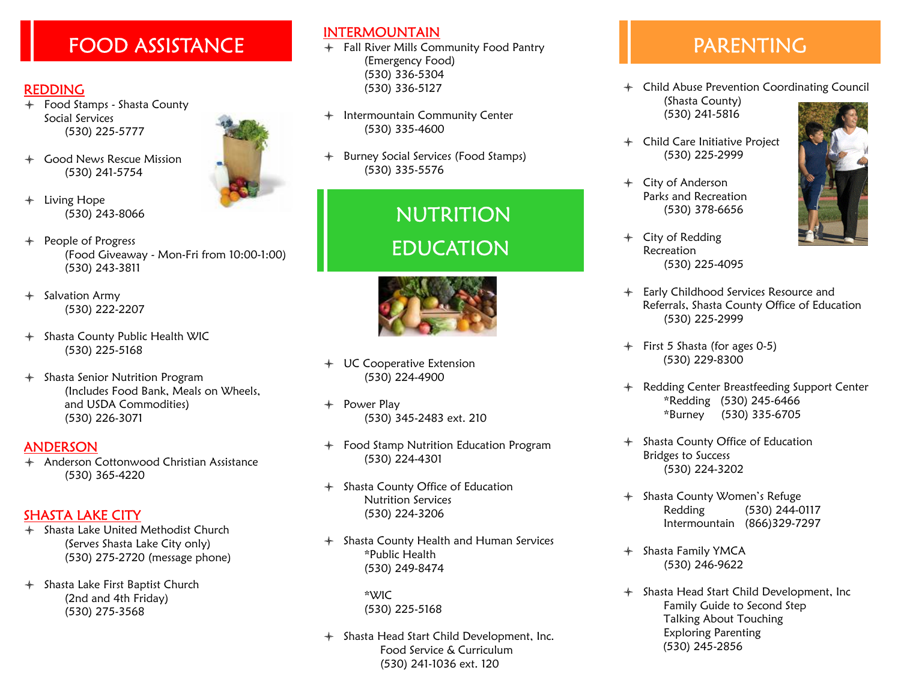## $\overline{FOOD}$  ASSISTANCE  $\overline{F}$  Fall River Mills Community Food Pantry  $\overline{P}$  PARENTING

#### REDDING

- $\div$  Food Stamps Shasta County Social Services (530) 225-5777
- + Good News Rescue Mission (530) 241-5754
- $+$  Living Hope (530) 243-8066
- $+$  People of Progress (Food Giveaway - Mon-Fri from 10:00-1:00) (530) 243-3811
- $+$  Salvation Army (530) 222-2207
- $+$  Shasta County Public Health WIC (530) 225-5168
- $\div$  Shasta Senior Nutrition Program (Includes Food Bank, Meals on Wheels, and USDA Commodities) (530) 226-3071

#### **ANDERSON**

 $\triangleq$  Anderson Cottonwood Christian Assistance (530) 365-4220

#### SHASTA LAKE CITY

- $\div$  Shasta Lake United Methodist Church (Serves Shasta Lake City only) (530) 275-2720 (message phone)
- $+$  Shasta Lake First Baptist Church (2nd and 4th Friday) (530) 275-3568

#### INTERMOUNTAIN

- (Emergency Food) (530) 336-5304 (530) 336-5127
- $+$  Intermountain Community Center (530) 335-4600
- $+$  Burney Social Services (Food Stamps) (530) 335-5576

# NUTRITION EDUCATION



- $+$  UC Cooperative Extension (530) 224-4900
- $+$  Power Play (530) 345-2483 ext. 210
- $+$  Food Stamp Nutrition Education Program (530) 224-4301
- $\div$  Shasta County Office of Education Nutrition Services (530) 224-3206
- $\div$  Shasta County Health and Human Services \*Public Health (530) 249-8474

 \*WIC (530) 225-5168

 $+$  Shasta Head Start Child Development, Inc. Food Service & Curriculum (530) 241-1036 ext. 120

- $+$  Child Abuse Prevention Coordinating Council (Shasta County) (530) 241-5816
- $+$  Child Care Initiative Project (530) 225-2999
- $+$  City of Anderson Parks and Recreation (530) 378-6656
- $+$  City of Redding Recreation (530) 225-4095
- $\div$  Early Childhood Services Resource and Referrals, Shasta County Office of Education (530) 225-2999
- $+$  First 5 Shasta (for ages 0-5) (530) 229-8300
- + Redding Center Breastfeeding Support Center \*Redding (530) 245-6466 \*Burney (530) 335-6705
- $+$  Shasta County Office of Education Bridges to Success (530) 224-3202
- + Shasta County Women's Refuge Redding (530) 244-0117 Intermountain (866)329-7297
- + Shasta Family YMCA (530) 246-9622
- $\div$  Shasta Head Start Child Development, Inc Family Guide to Second Step Talking About Touching Exploring Parenting (530) 245-2856